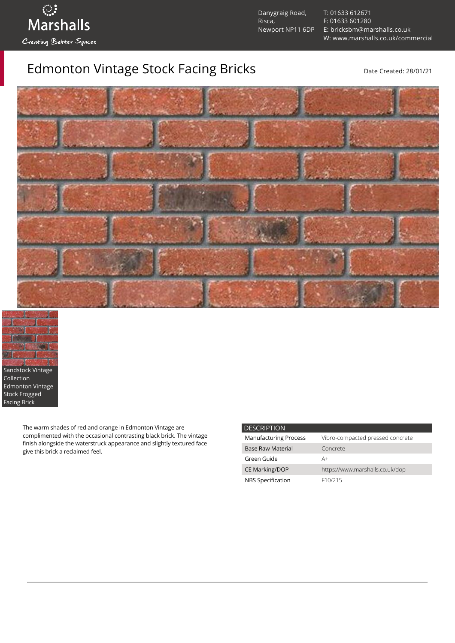

Danygraig Road, Risca, Newport NP11 6DP [T: 01633 612671](tel:01633%20612671) [F: 01633 601280](tel:01633%20601280) [E: bricksbm@marshalls.co.uk](mailto:bricksbm@marshalls.co.uk) [W: www.marshalls.co.uk/commercial](https://www.marshalls.co.uk/commercial)

## Edmonton Vintage Stock Facing Bricks **Exercise Active Created: 28/01/21**





The warm shades of red and orange in Edmonton Vintage are complimented with the occasional contrasting black brick. The vintage finish alongside the waterstruck appearance and slightly textured face give this brick a reclaimed feel.

| <b>DESCRIPTION</b>           |                                  |
|------------------------------|----------------------------------|
| <b>Manufacturing Process</b> | Vibro-compacted pressed concrete |
| <b>Base Raw Material</b>     | Concrete                         |
| Green Guide                  | A+                               |
| <b>CE Marking/DOP</b>        | https://www.marshalls.co.uk/dop  |
| NBS Specification            | F <sub>10</sub> /215             |